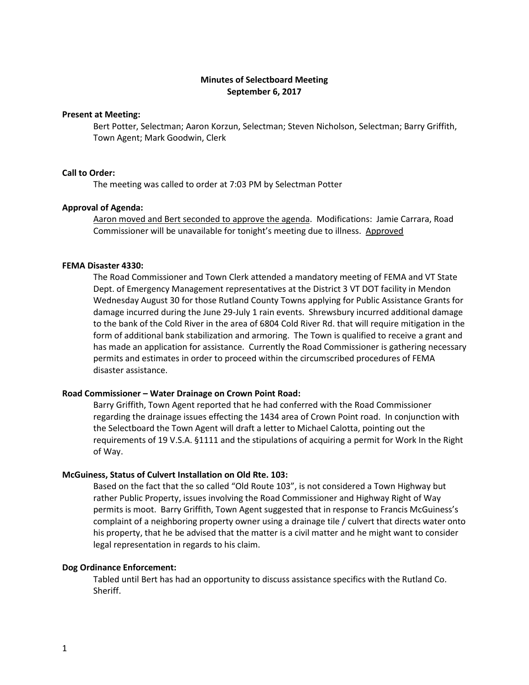# **Minutes of Selectboard Meeting September 6, 2017**

#### **Present at Meeting:**

Bert Potter, Selectman; Aaron Korzun, Selectman; Steven Nicholson, Selectman; Barry Griffith, Town Agent; Mark Goodwin, Clerk

# **Call to Order:**

The meeting was called to order at 7:03 PM by Selectman Potter

#### **Approval of Agenda:**

Aaron moved and Bert seconded to approve the agenda. Modifications: Jamie Carrara, Road Commissioner will be unavailable for tonight's meeting due to illness. Approved

#### **FEMA Disaster 4330:**

The Road Commissioner and Town Clerk attended a mandatory meeting of FEMA and VT State Dept. of Emergency Management representatives at the District 3 VT DOT facility in Mendon Wednesday August 30 for those Rutland County Towns applying for Public Assistance Grants for damage incurred during the June 29-July 1 rain events. Shrewsbury incurred additional damage to the bank of the Cold River in the area of 6804 Cold River Rd. that will require mitigation in the form of additional bank stabilization and armoring. The Town is qualified to receive a grant and has made an application for assistance. Currently the Road Commissioner is gathering necessary permits and estimates in order to proceed within the circumscribed procedures of FEMA disaster assistance.

#### **Road Commissioner – Water Drainage on Crown Point Road:**

Barry Griffith, Town Agent reported that he had conferred with the Road Commissioner regarding the drainage issues effecting the 1434 area of Crown Point road. In conjunction with the Selectboard the Town Agent will draft a letter to Michael Calotta, pointing out the requirements of 19 V.S.A. §1111 and the stipulations of acquiring a permit for Work In the Right of Way.

### **McGuiness, Status of Culvert Installation on Old Rte. 103:**

Based on the fact that the so called "Old Route 103", is not considered a Town Highway but rather Public Property, issues involving the Road Commissioner and Highway Right of Way permits is moot. Barry Griffith, Town Agent suggested that in response to Francis McGuiness's complaint of a neighboring property owner using a drainage tile / culvert that directs water onto his property, that he be advised that the matter is a civil matter and he might want to consider legal representation in regards to his claim.

#### **Dog Ordinance Enforcement:**

Tabled until Bert has had an opportunity to discuss assistance specifics with the Rutland Co. Sheriff.